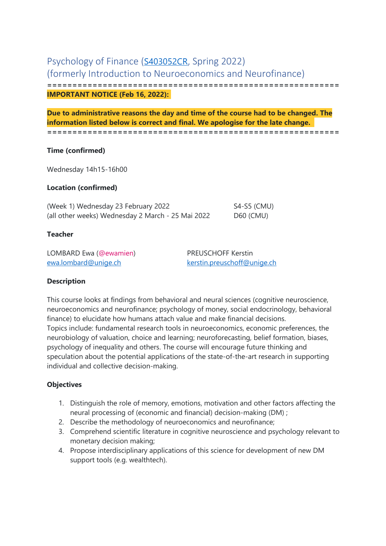# Psychology of Finance (S403052CR, Spring 2022) (formerly Introduction to Neuroeconomics and Neurofinance) **========================================================== IMPORTANT NOTICE (Feb 16, 2022):**

**Due to administrative reasons the day and time of the course had to be changed. The information listed below is correct and final. We apologise for the late change. ==========================================================**

### **Time (confirmed)**

Wednesday 14h15-16h00

## **Location (confirmed)**

(Week 1) Wednesday 23 February 2022 S4-S5 (CMU) (all other weeks) Wednesday 2 March - 25 Mai 2022 D60 (CMU)

#### **Teacher**

LOMBARD Ewa (@ewamien) PREUSCHOFF Kerstin

ewa.lombard@unige.ch kerstin.preuschoff@unige.ch

### **Description**

This course looks at findings from behavioral and neural sciences (cognitive neuroscience, neuroeconomics and neurofinance; psychology of money, social endocrinology, behavioral finance) to elucidate how humans attach value and make financial decisions. Topics include: fundamental research tools in neuroeconomics, economic preferences, the neurobiology of valuation, choice and learning; neuroforecasting, belief formation, biases, psychology of inequality and others. The course will encourage future thinking and speculation about the potential applications of the state-of-the-art research in supporting individual and collective decision-making.

### **Objectives**

- 1. Distinguish the role of memory, emotions, motivation and other factors affecting the neural processing of (economic and financial) decision-making (DM) ;
- 2. Describe the methodology of neuroeconomics and neurofinance;
- 3. Comprehend scientific literature in cognitive neuroscience and psychology relevant to monetary decision making;
- 4. Propose interdisciplinary applications of this science for development of new DM support tools (e.g. wealthtech).